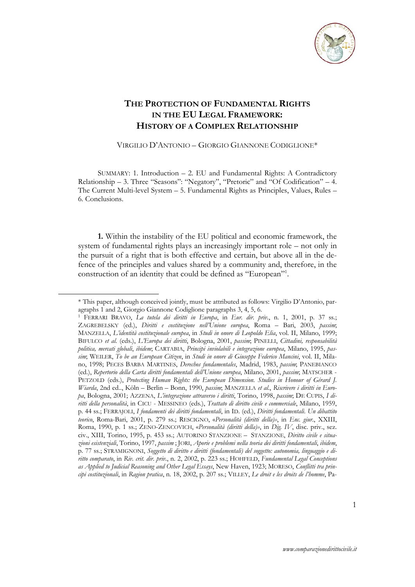

## **THE PROTECTION OF FUNDAMENTAL RIGHTS IN THE EU LEGAL FRAMEWORK: HISTORY OF A COMPLEX RELATIONSHIP**

VIRGILIO D'ANTONIO – GIORGIO GIANNONE CODIGLIONE\*

SUMMARY: 1. Introduction – 2. EU and Fundamental Rights: A Contradictory Relationship – 3. Three "Seasons": "Negatory", "Pretoric" and "Of Codification" – 4. The Current Multi-level System – 5. Fundamental Rights as Principles, Values, Rules – 6. Conclusions.

**1.** Within the instability of the EU political and economic framework, the system of fundamental rights plays an increasingly important role – not only in the pursuit of a right that is both effective and certain, but above all in the defence of the principles and values shared by a community and, therefore, in the construction of an identity that could be defined as "European"1 .

<sup>\*</sup> This paper, although conceived jointly, must be attributed as follows: Virgilio D'Antonio, paragraphs 1 and 2, Giorgio Giannone Codiglione paragraphs 3, 4, 5, 6.

<sup>1</sup> FERRARI BRAVO, *La tutela dei diritti in Europa*, in *Eur. dir. priv.*, n. 1, 2001, p. 37 ss.; ZAGREBELSKY (ed.), *Diritti e costituzione nell'Unione europea*, Roma – Bari, 2003, *passim*; MANZELLA, *L'identità costituzionale europea*, in *Studi in onore di Leopoldo Elia*, vol. II, Milano, 1999; BIFULCO *et al.* (eds.), *L'Europa dei diritti*, Bologna, 2001, *passim*; PINELLI, *Cittadini, responsabilità politica, mercati globali*, *ibidem*; CARTABIA, *Principi inviolabili e integrazione europea*, Milano, 1995, *passim*; WEILER, *To be an European Citizen*, in *Studi in onore di Giuseppe Federico Mancini*, vol. II, Milano, 1998; PECES BARBA MARTINES, *Derechos fundamentales*, Madrid, 1983, *passim*; PANEBIANCO (ed.), *Repertorio della Carta diritti fondamentali dell'Unione europea*, Milano, 2001, *passim*; MATSCHER - PETZOLD (eds.), *Protecting Human Rights: the European Dimension. Studies in Honour of Gérard J. Wiarda*, 2nd ed.., Köln – Berlin – Bonn, 1990, *passim*; MANZELLA *et al.*, *Riscrivere i diritti in Europa*, Bologna, 2001; AZZENA, *L'integrazione attraverso i diritti*, Torino, 1998, *passim*; DE CUPIS, *I diritti della personalità*, in CICU - MESSINEO (eds.), *Trattato di diritto civile e commerciale*, Milano, 1959, p. 44 ss.; FERRAJOLI, *I fondamenti dei diritti fondamentali*, in ID. (ed.), *Diritti fondamentali. Un dibattito teorico*, Roma-Bari, 2001, p. 279 ss.; RESCIGNO, «*Personalità (diritti della)»*, in *Enc. giur.*, XXIII, Roma, 1990, p. 1 ss.; ZENO-ZENCOVICH, «*Personalità (diritti della)»*, in *Dig. IV*, disc. priv., sez. civ., XIII, Torino, 1995, p. 453 ss.; AUTORINO STANZIONE – STANZIONE, *Diritto civile e situazioni esistenziali*, Torino, 1997, *passim* ; JORI, *Aporie e problemi nella teoria dei diritti fondamentali*, *ibidem*, p. 77 ss.; STRAMIGNONI, *Soggetto di diritto e diritti (fondamentali) del soggetto: autonomia, linguaggio e diritto comparato*, in *Riv. crit. dir. priv.*, n. 2, 2002, p. 223 ss.; HOHFELD, *Fundamental Legal Conceptions as Applied to Judicial Reasoning and Other Legal Essays*, New Haven, 1923; MORESO, *Conflitti tra principi costituzionali*, in *Ragion pratica*, n. 18, 2002, p. 207 ss.; VILLEY, *Le droit e les droits de l'homme*, Pa-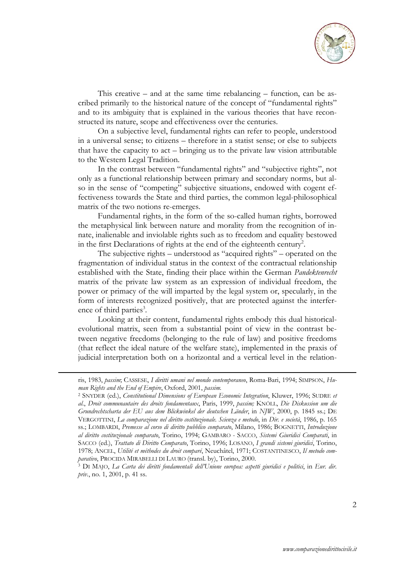

This creative – and at the same time rebalancing – function, can be ascribed primarily to the historical nature of the concept of "fundamental rights" and to its ambiguity that is explained in the various theories that have reconstructed its nature, scope and effectiveness over the centuries.

On a subjective level, fundamental rights can refer to people, understood in a universal sense; to citizens – therefore in a statist sense; or else to subjects that have the capacity to act – bringing us to the private law vision attributable to the Western Legal Tradition.

In the contrast between "fundamental rights" and "subjective rights", not only as a functional relationship between primary and secondary norms, but also in the sense of "competing" subjective situations, endowed with cogent effectiveness towards the State and third parties, the common legal-philosophical matrix of the two notions re-emerges.

Fundamental rights, in the form of the so-called human rights, borrowed the metaphysical link between nature and morality from the recognition of innate, inalienable and inviolable rights such as to freedom and equality bestowed in the first Declarations of rights at the end of the eighteenth century<sup>2</sup>.

The subjective rights – understood as "acquired rights" – operated on the fragmentation of individual status in the context of the contractual relationship established with the State, finding their place within the German *Pandektenrecht* matrix of the private law system as an expression of individual freedom, the power or primacy of the will imparted by the legal system or, specularly, in the form of interests recognized positively, that are protected against the interference of third parties<sup>3</sup>.

Looking at their content, fundamental rights embody this dual historicalevolutional matrix, seen from a substantial point of view in the contrast between negative freedoms (belonging to the rule of law) and positive freedoms (that reflect the ideal nature of the welfare state), implemented in the praxis of judicial interpretation both on a horizontal and a vertical level in the relation-

ris, 1983, *passim*; CASSESE, *I diritti umani nel mondo contemporaneo*, Roma-Bari, 1994; SIMPSON, *Human Rights and the End of Empire*, Oxford, 2001, *passim.*

<sup>2</sup> SNYDER (ed.), *Constitutional Dimensions of European Economic Integration*, Kluwer, 1996; SUDRE *et al.*, *Droit communautaire des droits fondamentaux*, Paris, 1999, *passim;* KNÖLL, *Die Diskussion um die Grundrechtscharta der EU aus dem Blickwinkel der deutschen Länder*, in *NJW*, 2000, p. 1845 ss.; DE VERGOTTINI, *La comparazione nel diritto costituzionale. Scienza e metodo*, in *Dir. e società*, 1986, p. 165 ss.; LOMBARDI, *Premesse al corso di diritto pubblico comparato*, Milano, 1986; BOGNETTI, *Introduzione al diritto costituzionale comparato*, Torino, 1994; GAMBARO - SACCO, *Sistemi Giuridici Comparati*, in SACCO (ed.), *Trattato di Diritto Comparato*, Torino, 1996; LOSANO, *I grandi sistemi giuridici*, Torino, 1978; ANCEL, *Utilité et méthodes du droit comparé*, Neuchâtel, 1971; COSTANTINESCO, *Il metodo comparativo*, PROCIDA MIRABELLI DI LAURO (transl. by), Torino, 2000. 3 DI MAJO, *La Carta dei diritti fondamentali dell'Unione europea: aspetti giuridici e politici*, in *Eur. dir.* 

*priv.*, no. 1, 2001, p. 41 ss.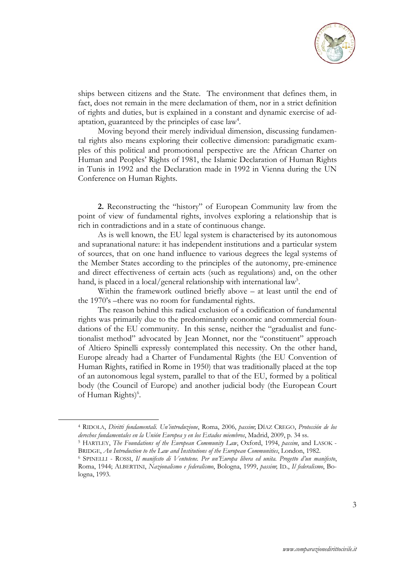

ships between citizens and the State. The environment that defines them, in fact, does not remain in the mere declamation of them, nor in a strict definition of rights and duties, but is explained in a constant and dynamic exercise of adaptation, guaranteed by the principles of case law<sup>4</sup>.

Moving beyond their merely individual dimension, discussing fundamental rights also means exploring their collective dimension: paradigmatic examples of this political and promotional perspective are the African Charter on Human and Peoples' Rights of 1981, the Islamic Declaration of Human Rights in Tunis in 1992 and the Declaration made in 1992 in Vienna during the UN Conference on Human Rights.

**2.** Reconstructing the "history" of European Community law from the point of view of fundamental rights, involves exploring a relationship that is rich in contradictions and in a state of continuous change.

As is well known, the EU legal system is characterised by its autonomous and supranational nature: it has independent institutions and a particular system of sources, that on one hand influence to various degrees the legal systems of the Member States according to the principles of the autonomy, pre-eminence and direct effectiveness of certain acts (such as regulations) and, on the other hand, is placed in a local/general relationship with international law<sup>5</sup>.

Within the framework outlined briefly above – at least until the end of the 1970's –there was no room for fundamental rights.

The reason behind this radical exclusion of a codification of fundamental rights was primarily due to the predominantly economic and commercial foundations of the EU community. In this sense, neither the "gradualist and functionalist method" advocated by Jean Monnet, nor the "constituent" approach of Altiero Spinelli expressly contemplated this necessity. On the other hand, Europe already had a Charter of Fundamental Rights (the EU Convention of Human Rights, ratified in Rome in 1950) that was traditionally placed at the top of an autonomous legal system, parallel to that of the EU, formed by a political body (the Council of Europe) and another judicial body (the European Court of Human Rights)<sup>6</sup>.

<sup>4</sup> RIDOLA, *Diritti fondamentali. Un'introduzione*, Roma, 2006, *passim*; DÍAZ CREGO, *Protección de los derechos fundamentales en la Unión Europea y en los Estados miembros*, Madrid, 2009, p. 34 ss. 5 HARTLEY, *The Foundations of the European Community Law*, Oxford, 1994, *passim*, and LASOK -

BRIDGE, *An Introduction to the Law and Institutions of the European Communities*, London, 1982. 6 SPINELLI - ROSSI, *Il manifesto di Ventotene. Per un'Europa libera ed unita. Progetto d'un manifesto*, Roma, 1944; ALBERTINI, *Nazionalismo e federalismo*, Bologna, 1999, *passim*; ID., *Il federalismo*, Bologna, 1993.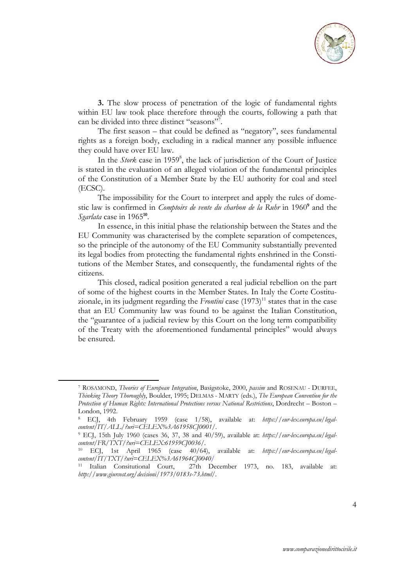

**3.** The slow process of penetration of the logic of fundamental rights within EU law took place therefore through the courts, following a path that can be divided into three distinct "seasons"<sup>7</sup>.

The first season – that could be defined as "negatory", sees fundamental rights as a foreign body, excluding in a radical manner any possible influence they could have over EU law.

In the *Stork* case in 1959<sup>8</sup>, the lack of jurisdiction of the Court of Justice is stated in the evaluation of an alleged violation of the fundamental principles of the Constitution of a Member State by the EU authority for coal and steel (ECSC).

The impossibility for the Court to interpret and apply the rules of domestic law is confirmed in *Comptoirs de vente du charbon de la Ruhr* in 1960**<sup>9</sup>** and the *Sgarlata* case in 1965**<sup>10</sup>**.

In essence, in this initial phase the relationship between the States and the EU Community was characterised by the complete separation of competences, so the principle of the autonomy of the EU Community substantially prevented its legal bodies from protecting the fundamental rights enshrined in the Constitutions of the Member States, and consequently, the fundamental rights of the citizens.

This closed, radical position generated a real judicial rebellion on the part of some of the highest courts in the Member States. In Italy the Corte Costituzionale, in its judgment regarding the *Frontini* case  $(1973)^{11}$  states that in the case that an EU Community law was found to be against the Italian Constitution, the "guarantee of a judicial review by this Court on the long term compatibility of the Treaty with the aforementioned fundamental principles" would always be ensured.

<sup>7</sup> ROSAMOND, *Theories of European Integration*, Basigstoke, 2000, *passim* and ROSENAU - DURFEE, *Thinking Theory Thoroughly*, Boulder, 1995; DELMAS - MARTY (eds.), *The European Convention for the Protection of Human Rights: International Protections versus National Restrictions*, Dordrecht – Boston – London, 1992.

<sup>8</sup> ECJ, 4th February 1959 (case 1/58), available at: *https://eur-lex.europa.eu/legalcontent/IT/ALL/?uri=CELEX%3A61958CJ0001/.* 

<sup>9</sup> ECJ, 15th July 1960 (cases 36, 37, 38 and 40/59), available at: *https://eur-lex.europa.eu/legalcontent/FR/TXT/?uri=CELEX:61959CJ0036/.* 

<sup>10</sup> ECJ, 1st April 1965 (case 40/64), available at: *https://eur-lex.europa.eu/legalcontent/IT/TXT/?uri=CELEX%3A61964CJ0040/*

<sup>11</sup> Italian Consitutional Court, 27th December 1973, no. 183, available at: *http://www.giurcost.org/decisioni/1973/0183s-73.html/.*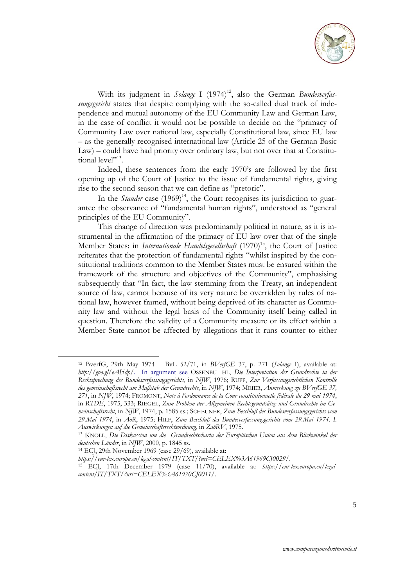

With its judgment in *Solange* I (1974)<sup>12</sup>, also the German *Bundesverfassungsgericht* states that despite complying with the so-called dual track of independence and mutual autonomy of the EU Community Law and German Law, in the case of conflict it would not be possible to decide on the "primacy of Community Law over national law, especially Constitutional law, since EU law – as the generally recognised international law (Article 25 of the German Basic Law) – could have had priority over ordinary law, but not over that at Constitutional level"13.

Indeed, these sentences from the early 1970's are followed by the first opening up of the Court of Justice to the issue of fundamental rights, giving rise to the second season that we can define as "pretoric".

In the *Stauder* case  $(1969)^{14}$ , the Court recognises its jurisdiction to guarantee the observance of "fundamental human rights", understood as "general principles of the EU Community".

This change of direction was predominantly political in nature, as it is instrumental in the affirmation of the primacy of EU law over that of the single Member States: in *Internationale Handelsgesellschaft* (1970)<sup>15</sup>, the Court of Justice reiterates that the protection of fundamental rights "whilst inspired by the constitutional traditions common to the Member States must be ensured within the framework of the structure and objectives of the Community", emphasising subsequently that "In fact, the law stemming from the Treaty, an independent source of law, cannot because of its very nature be overridden by rules of national law, however framed, without being deprived of its character as Community law and without the legal basis of the Community itself being called in question. Therefore the validity of a Community measure or its effect within a Member State cannot be affected by allegations that it runs counter to either

<sup>12</sup> BverfG, 29th May 1974 – BvL 52/71, in *BVerfGE* 37, p. 271 (*Solange* I), available at: *http://goo.gl/eAI5dp/.* In argument see OSSENBU HL, *Die Interpretation der Grundrechte in der Rechtsprechung des Bundesverfassungsgerichts*, in *NJW*, 1976; RUPP, *Zur Verfassungsrichtlichen Kontrolle des gemeinschaftsrecht am Maßstab der Grundrechte*, in *NJW*, 1974; MEIER, *Anmerkung zu BVerfGE 37, 271*, in *NJW*, 1974; FROMONT, *Note à l'ordonnance de la Cour constitutionnelle fédérale du 29 mai 1974*, in *RTDE*, 1975, 333; RIEGEL, *Zum Problem der Allgemeinen Rechtsgrundsätze und Grundrechte im Gemeinschaftsrecht*, in *NJW*, 1974, p. 1585 ss.; SCHEUNER, *Zum Beschluß des Bundesverfassungsgerichts vom 29.Mai 1974*, in *AöR*, 1975; HILF, *Zum Beschluß des Bundesverfassungsgerichts vom 29.Mai 1974. I.* 

*Auswirkungen auf die Gemeinschaftsrechtsordnung*, in *ZaöRV*, 1975. 13 KNÖLL, *Die Diskussion um die Grundrechtscharta der Europäischen Union aus dem Blickwinkel der deutschen Länder*, in *NJW*, 2000, p. 1845 ss. 14 ECJ, 29th November 1969 (case 29/69), available at:

*https://eur-lex.europa.eu/legal-content/IT/TXT/?uri=CELEX%3A61969CJ0029/*. 15 ECJ, 17th December 1979 (case 11/70), available at: *https://eur-lex.europa.eu/legalcontent/IT/TXT/?uri=CELEX%3A61970CJ0011/*.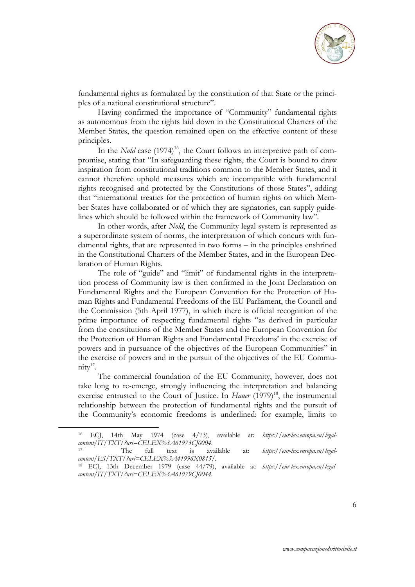

fundamental rights as formulated by the constitution of that State or the principles of a national constitutional structure".

Having confirmed the importance of "Community" fundamental rights as autonomous from the rights laid down in the Constitutional Charters of the Member States, the question remained open on the effective content of these principles.

In the *Nold* case  $(1974)^{16}$ , the Court follows an interpretive path of compromise, stating that "In safeguarding these rights, the Court is bound to draw inspiration from constitutional traditions common to the Member States, and it cannot therefore uphold measures which are incompatible with fundamental rights recognised and protected by the Constitutions of those States", adding that "international treaties for the protection of human rights on which Member States have collaborated or of which they are signatories, can supply guidelines which should be followed within the framework of Community law".

In other words, after *Nold*, the Community legal system is represented as a superordinate system of norms, the interpretation of which concurs with fundamental rights, that are represented in two forms – in the principles enshrined in the Constitutional Charters of the Member States, and in the European Declaration of Human Rights.

The role of "guide" and "limit" of fundamental rights in the interpretation process of Community law is then confirmed in the Joint Declaration on Fundamental Rights and the European Convention for the Protection of Human Rights and Fundamental Freedoms of the EU Parliament, the Council and the Commission (5th April 1977), in which there is official recognition of the prime importance of respecting fundamental rights "as derived in particular from the constitutions of the Member States and the European Convention for the Protection of Human Rights and Fundamental Freedoms' in the exercise of powers and in pursuance of the objectives of the European Communities" in the exercise of powers and in the pursuit of the objectives of the EU Commu $nity<sup>17</sup>$ .

The commercial foundation of the EU Community, however, does not take long to re-emerge, strongly influencing the interpretation and balancing exercise entrusted to the Court of Justice. In *Hauer* (1979)<sup>18</sup>, the instrumental relationship between the protection of fundamental rights and the pursuit of the Community's economic freedoms is underlined: for example, limits to

<sup>16</sup> ECJ, 14th May 1974 (case 4/73), available at: *https://eur-lex.europa.eu/legalcontent/IT/TXT/?uri=CELEX%3A61973CJ0004*. 17 The full text is available at: *https://eur-lex.europa.eu/legal-*

*content/ES/TXT/?uri=CELEX%3A41996X0815/.* 

<sup>18</sup> ECJ, 13th December 1979 (case 44/79), available at: *https://eur-lex.europa.eu/legalcontent/IT/TXT/?uri=CELEX%3A61979CJ0044.*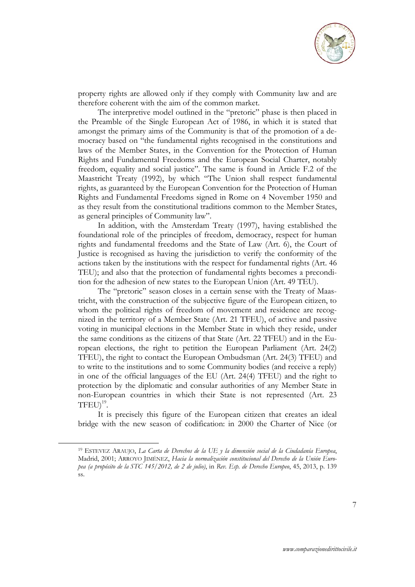

property rights are allowed only if they comply with Community law and are therefore coherent with the aim of the common market.

The interpretive model outlined in the "pretoric" phase is then placed in the Preamble of the Single European Act of 1986, in which it is stated that amongst the primary aims of the Community is that of the promotion of a democracy based on "the fundamental rights recognised in the constitutions and laws of the Member States, in the Convention for the Protection of Human Rights and Fundamental Freedoms and the European Social Charter, notably freedom, equality and social justice". The same is found in Article F.2 of the Maastricht Treaty (1992), by which "The Union shall respect fundamental rights, as guaranteed by the European Convention for the Protection of Human Rights and Fundamental Freedoms signed in Rome on 4 November 1950 and as they result from the constitutional traditions common to the Member States, as general principles of Community law".

In addition, with the Amsterdam Treaty (1997), having established the foundational role of the principles of freedom, democracy, respect for human rights and fundamental freedoms and the State of Law (Art. 6), the Court of Justice is recognised as having the jurisdiction to verify the conformity of the actions taken by the institutions with the respect for fundamental rights (Art. 46 TEU); and also that the protection of fundamental rights becomes a precondition for the adhesion of new states to the European Union (Art. 49 TEU).

The "pretoric" season closes in a certain sense with the Treaty of Maastricht, with the construction of the subjective figure of the European citizen, to whom the political rights of freedom of movement and residence are recognized in the territory of a Member State (Art. 21 TFEU), of active and passive voting in municipal elections in the Member State in which they reside, under the same conditions as the citizens of that State (Art. 22 TFEU) and in the European elections, the right to petition the European Parliament (Art. 24(2) TFEU), the right to contact the European Ombudsman (Art. 24(3) TFEU) and to write to the institutions and to some Community bodies (and receive a reply) in one of the official languages of the EU (Art. 24(4) TFEU) and the right to protection by the diplomatic and consular authorities of any Member State in non-European countries in which their State is not represented (Art. 23  $TFEU$ <sup>19</sup>.

It is precisely this figure of the European citizen that creates an ideal bridge with the new season of codification: in 2000 the Charter of Nice (or

<sup>19</sup> ESTEVEZ ARAUJO, *La Carta de Derechos de la UE y la dimensión social de la Ciudadanía Europea*, Madrid, 2001; ARROYO JIMÉNEZ, *Hacia la normalización constitucional del Derecho de la Unión Europea (a propósito de la STC 145/2012, de 2 de julio)*, in *Rev. Esp. de Derecho Europeo*, 45, 2013, p. 139 ss.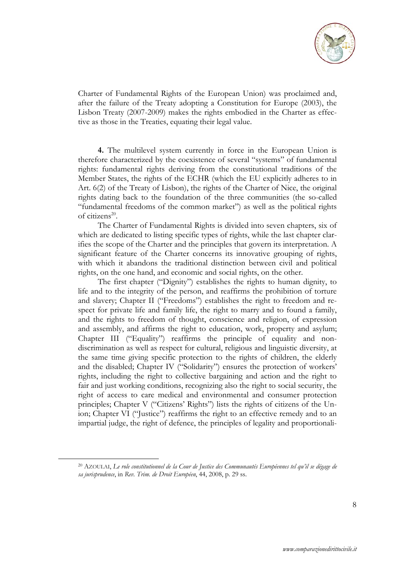

Charter of Fundamental Rights of the European Union) was proclaimed and, after the failure of the Treaty adopting a Constitution for Europe (2003), the Lisbon Treaty (2007-2009) makes the rights embodied in the Charter as effective as those in the Treaties, equating their legal value.

**4.** The multilevel system currently in force in the European Union is therefore characterized by the coexistence of several "systems" of fundamental rights: fundamental rights deriving from the constitutional traditions of the Member States, the rights of the ECHR (which the EU explicitly adheres to in Art. 6(2) of the Treaty of Lisbon), the rights of the Charter of Nice, the original rights dating back to the foundation of the three communities (the so-called "fundamental freedoms of the common market") as well as the political rights of citizens20.

The Charter of Fundamental Rights is divided into seven chapters, six of which are dedicated to listing specific types of rights, while the last chapter clarifies the scope of the Charter and the principles that govern its interpretation. A significant feature of the Charter concerns its innovative grouping of rights, with which it abandons the traditional distinction between civil and political rights, on the one hand, and economic and social rights, on the other.

The first chapter ("Dignity") establishes the rights to human dignity, to life and to the integrity of the person, and reaffirms the prohibition of torture and slavery; Chapter II ("Freedoms") establishes the right to freedom and respect for private life and family life, the right to marry and to found a family, and the rights to freedom of thought, conscience and religion, of expression and assembly, and affirms the right to education, work, property and asylum; Chapter III ("Equality") reaffirms the principle of equality and nondiscrimination as well as respect for cultural, religious and linguistic diversity, at the same time giving specific protection to the rights of children, the elderly and the disabled; Chapter IV ("Solidarity") ensures the protection of workers' rights, including the right to collective bargaining and action and the right to fair and just working conditions, recognizing also the right to social security, the right of access to care medical and environmental and consumer protection principles; Chapter V ("Citizens' Rights") lists the rights of citizens of the Union; Chapter VI ("Justice") reaffirms the right to an effective remedy and to an impartial judge, the right of defence, the principles of legality and proportionali-

<sup>20</sup> AZOULAI, *Le role constitutionnel de la Cour de Justice des Communautés Européennes tel qu'il se dégage de sa jurisprudence*, in *Rev. Trim. de Droit Européen*, 44, 2008, p. 29 ss.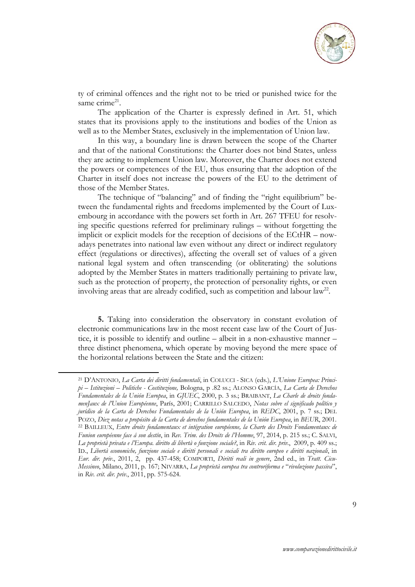

ty of criminal offences and the right not to be tried or punished twice for the same crime<sup>21</sup>.

The application of the Charter is expressly defined in Art. 51, which states that its provisions apply to the institutions and bodies of the Union as well as to the Member States, exclusively in the implementation of Union law.

In this way, a boundary line is drawn between the scope of the Charter and that of the national Constitutions: the Charter does not bind States, unless they are acting to implement Union law. Moreover, the Charter does not extend the powers or competences of the EU, thus ensuring that the adoption of the Charter in itself does not increase the powers of the EU to the detriment of those of the Member States.

The technique of "balancing" and of finding the "right equilibrium" between the fundamental rights and freedoms implemented by the Court of Luxembourg in accordance with the powers set forth in Art. 267 TFEU for resolving specific questions referred for preliminary rulings – without forgetting the implicit or explicit models for the reception of decisions of the ECtHR – nowadays penetrates into national law even without any direct or indirect regulatory effect (regulations or directives), affecting the overall set of values of a given national legal system and often transcending (or obliterating) the solutions adopted by the Member States in matters traditionally pertaining to private law, such as the protection of property, the protection of personality rights, or even involving areas that are already codified, such as competition and labour  $law^{22}$ .

**5.** Taking into consideration the observatory in constant evolution of electronic communications law in the most recent case law of the Court of Justice, it is possible to identify and outline – albeit in a non-exhaustive manner – three distinct phenomena, which operate by moving beyond the mere space of the horizontal relations between the State and the citizen:

<sup>21</sup> D'ANTONIO, *La Carta dei diritti fondamentali*, in COLUCCI - SICA (eds.), *L'Unione Europea: Principi – Istituzioni – Politiche - Costituzione,* Bologna, p .82 ss.; ALONSO GARCÍA, *La Carta de Derechos Fundamentales de la Unión Europea*, in *GJUEC*, 2000, p. 3 ss.; BRAIBANT, *La Charle de droits fondamenJaux de l'Union Européenne*, París, 2001; CARRILLO SALCEDO, *Notas sobre el significado político y jurídico de la Carta de Derechos Fundamentales de la Unión Europea*, in *REDC*, 2001, p. 7 ss.; DEL POZO, Diez notas a propósito de la Carta de derechos fundamentales de la Unión Europea, in BEUR, 2001.<br><sup>22</sup> BAILLEUX, Entre droits fondamentaux et intégration européenne, la Charte des Droits Fondamentaux de *Funion européenne face á son destín*, in *Rev. Trim. des Droits de l'Homme*, 97, 2014, p. 215 ss.; C. SALVI, *La proprietà privata e l'Europa. diritto di libertà o funzione sociale?*, in *Riv. crit. dir. priv*., 2009, p. 409 ss.; ID., *Libertà economiche, funzione sociale e diritti personali e sociali tra diritto europeo e diritti nazionali*, in *Eur. dir. priv*., 2011, 2, pp. 437-458; COMPORTI, *Diritti reali in genere*, 2nd ed., in *Tratt. Cicu-Messineo*, Milano, 2011, p. 167; NIVARRA, *La proprietà europea tra controriforma e* "*rivoluzione passiva*", in *Riv. crit. dir. priv.*, 2011, pp. 575-624.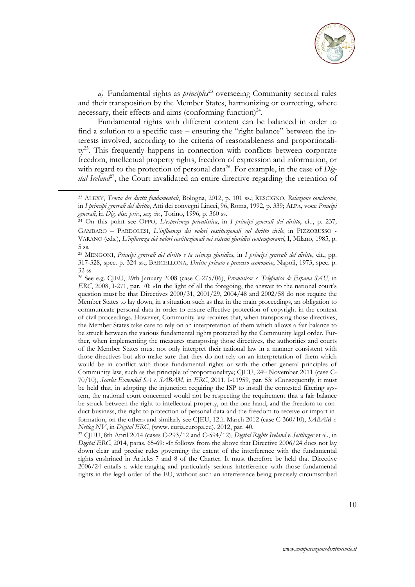

*a)* Fundamental rights as *principles*23 overseeing Community sectoral rules and their transposition by the Member States, harmonizing or correcting, where necessary, their effects and aims (conforming function)<sup>24</sup>.

Fundamental rights with different content can be balanced in order to find a solution to a specific case – ensuring the "right balance" between the interests involved, according to the criteria of reasonableness and proportionality<sup>25</sup>. This frequently happens in connection with conflicts between corporate freedom, intellectual property rights, freedom of expression and information, or with regard to the protection of personal data<sup>26</sup>. For example, in the case of *Digital Ireland*<sup>27</sup>, the Court invalidated an entire directive regarding the retention of

**.** 

<sup>23</sup> ALEXY, *Teoria dei diritti fondamentali*, Bologna, 2012, p. 101 ss.; RESCIGNO, *Relazione conclusiva*, in *I principi generali del diritto*, Atti dei convegni Lincei, 96, Roma, 1992, p. 339; ALPA, voce *Principi generali*, in *Dig. disc. priv*., *sez. civ.*, Torino, 1996, p. 360 ss. 24 On this point see OPPO, *L'esperienza privatistica*, in *I principi generali del diritto*, cit., p. 237;

GAMBARO – PARDOLESI, *L'influenza dei valori costituzionali sul diritto civile*, in PIZZORUSSO - VARANO (eds.), *L'influenza dei valori costituzionali nei sistemi giuridici contemporanei*, I, Milano, 1985, p. 5 ss.

<sup>25</sup> MENGONI, *Principi generali del diritto e la scienza giuridica*, in *I principi generali del diritto*, cit., pp. 317-328, spec. p. 324 ss.; BARCELLONA, *Diritto privato e processo economico*, Napoli, 1973, spec. p. 32 ss.

<sup>26</sup> See e.g. CJEU, 29th January 2008 (case C-275/06), *Promusicae c. Telefonica de Espana SAU*, in *ERC*, 2008, I-271, par. 70: «In the light of all the foregoing, the answer to the national court's question must be that Directives 2000/31, 2001/29, 2004/48 and 2002/58 do not require the Member States to lay down, in a situation such as that in the main proceedings, an obligation to communicate personal data in order to ensure effective protection of copyright in the context of civil proceedings. However, Community law requires that, when transposing those directives, the Member States take care to rely on an interpretation of them which allows a fair balance to be struck between the various fundamental rights protected by the Community legal order. Further, when implementing the measures transposing those directives, the authorities and courts of the Member States must not only interpret their national law in a manner consistent with those directives but also make sure that they do not rely on an interpretation of them which would be in conflict with those fundamental rights or with the other general principles of Community law, such as the principle of proportionality»; CJEU, 24<sup>th</sup> November 2011 (case C-70/10), *Scarlet Extended SA c. SABAM*, in *ERC*, 2011, I-11959, par. 53: «Consequently, it must be held that, in adopting the injunction requiring the ISP to install the contested filtering system, the national court concerned would not be respecting the requirement that a fair balance be struck between the right to intellectual property, on the one hand, and the freedom to conduct business, the right to protection of personal data and the freedom to receive or impart information, on the other» and similarly see CJEU, 12th March 2012 (case C-360/10), *SABAM c.* 

*Netlog NV*, in *Digital ERC*, (www. curia.europa.eu), 2012, par. 40.<br><sup>27</sup> CJEU, 8th April 2014 (cases C-293/12 and C-594/12), *Digital Rights Ireland* e *Seitlinger* et al., in *Digital ERC*, 2014, paras. 65-69: «It follows from the above that Directive 2006/24 does not lay down clear and precise rules governing the extent of the interference with the fundamental rights enshrined in Articles 7 and 8 of the Charter. It must therefore be held that Directive 2006/24 entails a wide-ranging and particularly serious interference with those fundamental rights in the legal order of the EU, without such an interference being precisely circumscribed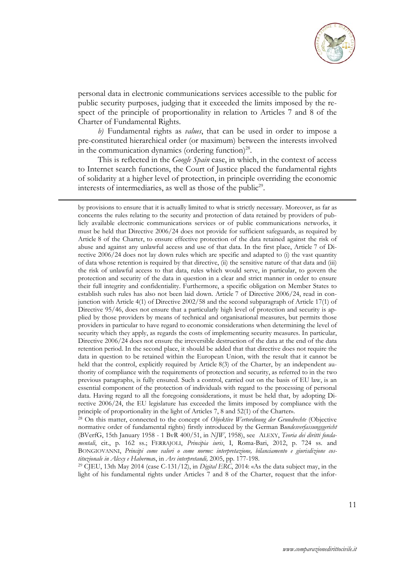

personal data in electronic communications services accessible to the public for public security purposes, judging that it exceeded the limits imposed by the respect of the principle of proportionality in relation to Articles 7 and 8 of the Charter of Fundamental Rights.

*b)* Fundamental rights as *values*, that can be used in order to impose a pre-constituted hierarchical order (or maximum) between the interests involved in the communication dynamics (ordering function)<sup>28</sup>.

This is reflected in the *Google Spain* case, in which, in the context of access to Internet search functions, the Court of Justice placed the fundamental rights of solidarity at a higher level of protection, in principle overriding the economic interests of intermediaries, as well as those of the public<sup>29</sup>.

**.** 

by provisions to ensure that it is actually limited to what is strictly necessary. Moreover, as far as concerns the rules relating to the security and protection of data retained by providers of publicly available electronic communications services or of public communications networks, it must be held that Directive 2006/24 does not provide for sufficient safeguards, as required by Article 8 of the Charter, to ensure effective protection of the data retained against the risk of abuse and against any unlawful access and use of that data. In the first place, Article 7 of Directive 2006/24 does not lay down rules which are specific and adapted to (i) the vast quantity of data whose retention is required by that directive, (ii) the sensitive nature of that data and (iii) the risk of unlawful access to that data, rules which would serve, in particular, to govern the protection and security of the data in question in a clear and strict manner in order to ensure their full integrity and confidentiality. Furthermore, a specific obligation on Member States to establish such rules has also not been laid down. Article 7 of Directive 2006/24, read in conjunction with Article 4(1) of Directive 2002/58 and the second subparagraph of Article 17(1) of Directive 95/46, does not ensure that a particularly high level of protection and security is applied by those providers by means of technical and organisational measures, but permits those providers in particular to have regard to economic considerations when determining the level of security which they apply, as regards the costs of implementing security measures. In particular, Directive 2006/24 does not ensure the irreversible destruction of the data at the end of the data retention period. In the second place, it should be added that that directive does not require the data in question to be retained within the European Union, with the result that it cannot be held that the control, explicitly required by Article 8(3) of the Charter, by an independent authority of compliance with the requirements of protection and security, as referred to in the two previous paragraphs, is fully ensured. Such a control, carried out on the basis of EU law, is an essential component of the protection of individuals with regard to the processing of personal data. Having regard to all the foregoing considerations, it must be held that, by adopting Directive 2006/24, the EU legislature has exceeded the limits imposed by compliance with the principle of proportionality in the light of Articles 7, 8 and 52(1) of the Charter». 28 On this matter, connected to the concept of *Objektive Wertordnung der Grundrechte* (Objective

normative order of fundamental rights) firstly introduced by the German B*undesverfassungsgericht* (BVerfG, 15th January 1958 - 1 BvR 400/51, in *NJW*, 1958), see ALEXY, *Teoria dei diritti fondamentali*, cit., p. 162 ss.; FERRAJOLI, *Principia iuris*, I, Roma-Bari, 2012, p. 724 ss. and BONGIOVANNI, *Principi come valori o come norme: interpretazione, bilanciamento e giurisdizione cos-*

*tituzionale in Alexy e Haberma*s, in *Ars interpretandi,* 2005, pp. 177-198. 29 CJEU, 13th May 2014 (case C-131/12), in *Digital ERC*, 2014: «As the data subject may, in the light of his fundamental rights under Articles 7 and 8 of the Charter, request that the infor-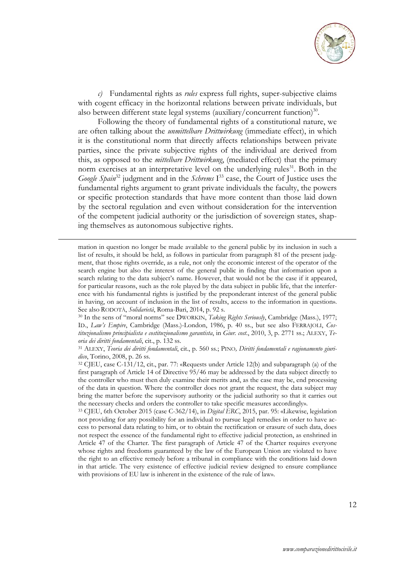

*c)* Fundamental rights as *rules* express full rights, super-subjective claims with cogent efficacy in the horizontal relations between private individuals, but also between different state legal systems (auxiliary/concurrent function)<sup>30</sup>.

Following the theory of fundamental rights of a constitutional nature, we are often talking about the *unmittelbare Drittwirkung* (immediate effect), in which it is the constitutional norm that directly affects relationships between private parties, since the private subjective rights of the individual are derived from this, as opposed to the *mittelbare Drittwirkung*, (mediated effect) that the primary norm exercises at an interpretative level on the underlying rules<sup>31</sup>. Both in the *Google Spain*<sup>32</sup> judgment and in the *Schrems* I<sup>33</sup> case, the Court of Justice uses the fundamental rights argument to grant private individuals the faculty, the powers or specific protection standards that have more content than those laid down by the sectoral regulation and even without consideration for the intervention of the competent judicial authority or the jurisdiction of sovereign states, shaping themselves as autonomous subjective rights.

mation in question no longer be made available to the general public by its inclusion in such a list of results, it should be held, as follows in particular from paragraph 81 of the present judgment, that those rights override, as a rule, not only the economic interest of the operator of the search engine but also the interest of the general public in finding that information upon a search relating to the data subject's name. However, that would not be the case if it appeared, for particular reasons, such as the role played by the data subject in public life, that the interference with his fundamental rights is justified by the preponderant interest of the general public in having, on account of inclusion in the list of results, access to the information in question». See also RODOTÀ, *Solidarietà*, Roma-Bari, 2014, p. 92 s.<br><sup>30</sup> In the sens of "moral norms" see DWORKIN, *Taking Rights Seriously*, Cambridge (Mass.), 1977;

**.** 

ID., *Law's Empire*, Cambridge (Mass.)-London, 1986, p. 40 ss., but see also FERRAJOLI, *Costituzionalismo principialista e costituzionalismo garantista*, in *Giur. cost*., 2010, 3, p. 2771 ss.; ALEXY, *Teoria dei diritti fondamentali*, cit., p. 132 ss. 31 ALEXY, *Teoria dei diritti fondamentali*, cit., p. 560 ss.; PINO*, Diritti fondamentali e ragionamento giuri-*

*dico*, Torino, 2008, p. 26 ss. 32 CJEU, case C-131/12, cit., par. 77: «Requests under Article 12(b) and subparagraph (a) of the

33 CJEU, 6th October 2015 (case C-362/14), in *Digital ERC*, 2015, par. 95: «Likewise, legislation not providing for any possibility for an individual to pursue legal remedies in order to have access to personal data relating to him, or to obtain the rectification or erasure of such data, does not respect the essence of the fundamental right to effective judicial protection, as enshrined in Article 47 of the Charter. The first paragraph of Article 47 of the Charter requires everyone whose rights and freedoms guaranteed by the law of the European Union are violated to have the right to an effective remedy before a tribunal in compliance with the conditions laid down in that article. The very existence of effective judicial review designed to ensure compliance with provisions of EU law is inherent in the existence of the rule of law».

first paragraph of Article 14 of Directive 95/46 may be addressed by the data subject directly to the controller who must then duly examine their merits and, as the case may be, end processing of the data in question. Where the controller does not grant the request, the data subject may bring the matter before the supervisory authority or the judicial authority so that it carries out the necessary checks and orders the controller to take specific measures accordingly».